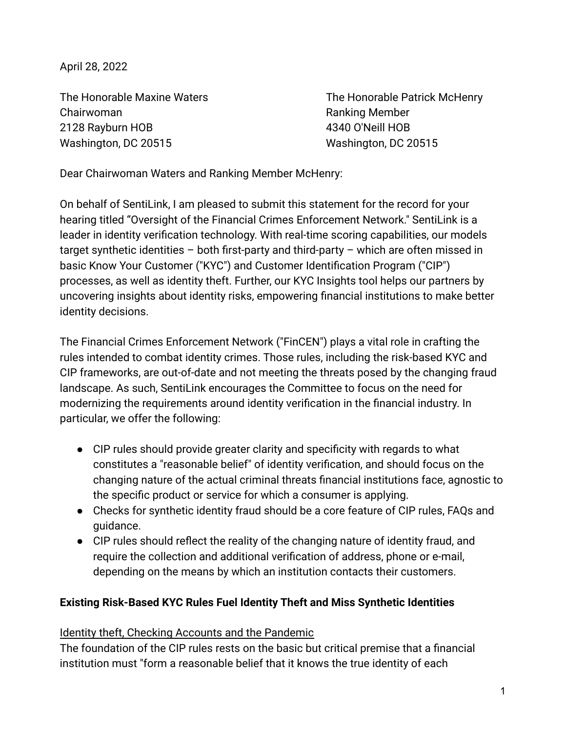April 28, 2022

Chairwoman **Ranking Member** Chairwoman 2128 Rayburn HOB 4340 O'Neill HOB Washington, DC 20515 Washington, DC 20515

The Honorable Maxine Waters The Honorable Patrick McHenry

Dear Chairwoman Waters and Ranking Member McHenry:

On behalf of SentiLink, I am pleased to submit this statement for the record for your hearing titled "Oversight of the Financial Crimes Enforcement Network." SentiLink is a leader in identity verification technology. With real-time scoring capabilities, our models target synthetic identities – both first-party and third-party – which are often missed in basic Know Your Customer ("KYC") and Customer Identification Program ("CIP") processes, as well as identity theft. Further, our KYC Insights tool helps our partners by uncovering insights about identity risks, empowering financial institutions to make better identity decisions.

The Financial Crimes Enforcement Network ("FinCEN") plays a vital role in crafting the rules intended to combat identity crimes. Those rules, including the risk-based KYC and CIP frameworks, are out-of-date and not meeting the threats posed by the changing fraud landscape. As such, SentiLink encourages the Committee to focus on the need for modernizing the requirements around identity verification in the financial industry. In particular, we offer the following:

- CIP rules should provide greater clarity and specificity with regards to what constitutes a "reasonable belief" of identity verification, and should focus on the changing nature of the actual criminal threats financial institutions face, agnostic to the specific product or service for which a consumer is applying.
- *●* Checks for synthetic identity fraud should be a core feature of CIP rules, FAQs and guidance.
- CIP rules should reflect the reality of the changing nature of identity fraud, and require the collection and additional verification of address, phone or e-mail, depending on the means by which an institution contacts their customers.

# **Existing Risk-Based KYC Rules Fuel Identity Theft and Miss Synthetic Identities**

# Identity theft, Checking Accounts and the Pandemic

The foundation of the CIP rules rests on the basic but critical premise that a financial institution must "form a reasonable belief that it knows the true identity of each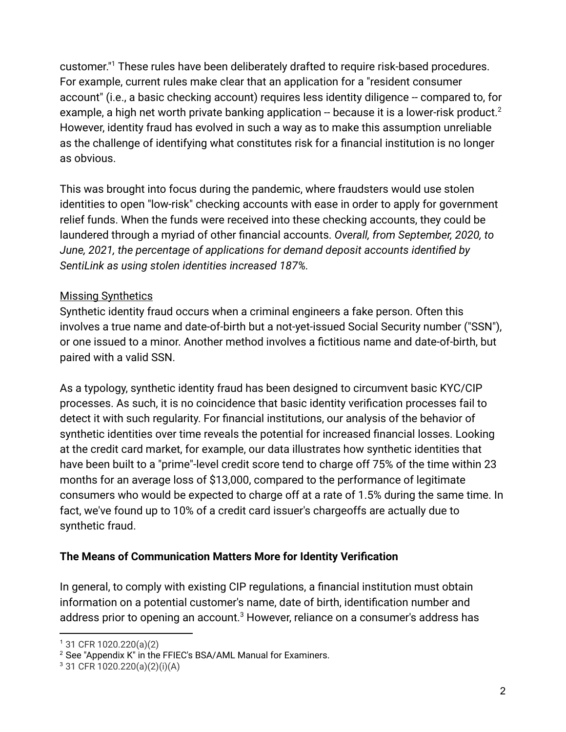customer." <sup>1</sup> These rules have been deliberately drafted to require risk-based procedures. For example, current rules make clear that an application for a "resident consumer account" (i.e., a basic checking account) requires less identity diligence -- compared to, for example, a high net worth private banking application  $-$  because it is a lower-risk product.<sup>2</sup> However, identity fraud has evolved in such a way as to make this assumption unreliable as the challenge of identifying what constitutes risk for a financial institution is no longer as obvious.

This was brought into focus during the pandemic, where fraudsters would use stolen identities to open "low-risk" checking accounts with ease in order to apply for government relief funds. When the funds were received into these checking accounts, they could be laundered through a myriad of other financial accounts. *Overall, from September, 2020, to June, 2021, the percentage of applications for demand deposit accounts identified by SentiLink as using stolen identities increased 187%.*

# Missing Synthetics

Synthetic identity fraud occurs when a criminal engineers a fake person. Often this involves a true name and date-of-birth but a not-yet-issued Social Security number ("SSN"), or one issued to a minor. Another method involves a fictitious name and date-of-birth, but paired with a valid SSN.

As a typology, synthetic identity fraud has been designed to circumvent basic KYC/CIP processes. As such, it is no coincidence that basic identity verification processes fail to detect it with such regularity. For financial institutions, our analysis of the behavior of synthetic identities over time reveals the potential for increased financial losses. Looking at the credit card market, for example, our data illustrates how synthetic identities that have been built to a "prime"-level credit score tend to charge off 75% of the time within 23 months for an average loss of \$13,000, compared to the performance of legitimate consumers who would be expected to charge off at a rate of 1.5% during the same time. In fact, we've found up to 10% of a credit card issuer's chargeoffs are actually due to synthetic fraud.

# **The Means of Communication Matters More for Identity Verification**

In general, to comply with existing CIP regulations, a financial institution must obtain information on a potential customer's name, date of birth, identification number and address prior to opening an account.<sup>3</sup> However, reliance on a consumer's address has

<sup>1</sup> 31 CFR 1020.220(a)(2)

<sup>2</sup> See "Appendix K" in the FFIEC's BSA/AML Manual for Examiners.

<sup>3</sup> 31 CFR 1020.220(a)(2)(i)(A)